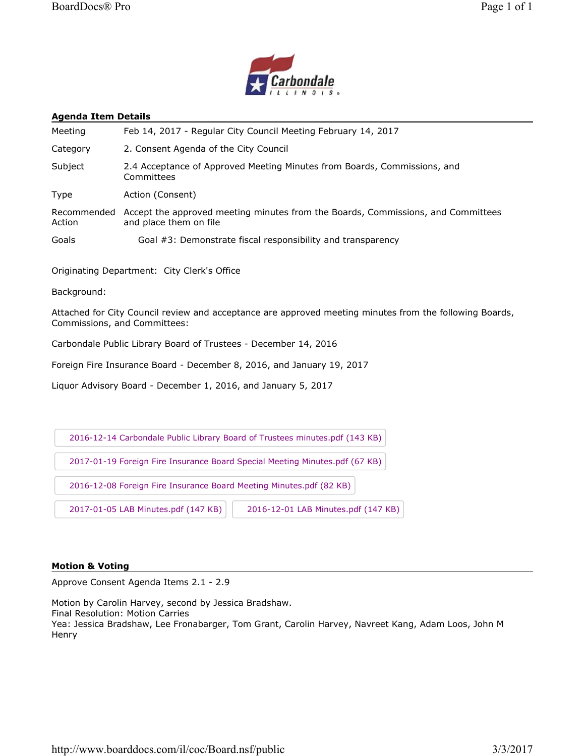



#### **Agenda Item Details**

| Meeting               | Feb 14, 2017 - Regular City Council Meeting February 14, 2017                                              |
|-----------------------|------------------------------------------------------------------------------------------------------------|
| Category              | 2. Consent Agenda of the City Council                                                                      |
| Subject               | 2.4 Acceptance of Approved Meeting Minutes from Boards, Commissions, and<br>Committees                     |
| <b>Type</b>           | Action (Consent)                                                                                           |
| Recommended<br>Action | Accept the approved meeting minutes from the Boards, Commissions, and Committees<br>and place them on file |
| Goals                 | Goal #3: Demonstrate fiscal responsibility and transparency                                                |

Originating Department: City Clerk's Office

Background:

Attached for City Council review and acceptance are approved meeting minutes from the following Boards, Commissions, and Committees:

Carbondale Public Library Board of Trustees - December 14, 2016

Foreign Fire Insurance Board - December 8, 2016, and January 19, 2017

Liquor Advisory Board - December 1, 2016, and January 5, 2017



#### **Motion & Voting**

Approve Consent Agenda Items 2.1 - 2.9

Motion by Carolin Harvey, second by Jessica Bradshaw.

Final Resolution: Motion Carries

Yea: Jessica Bradshaw, Lee Fronabarger, Tom Grant, Carolin Harvey, Navreet Kang, Adam Loos, John M **Henry**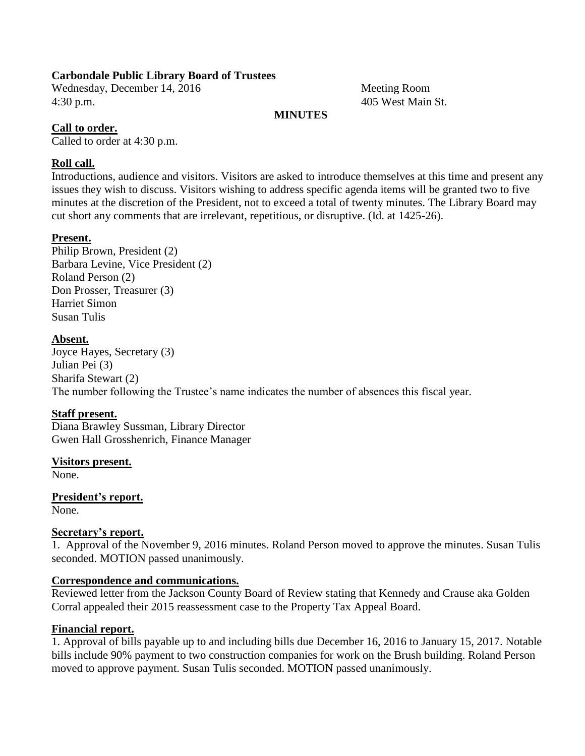## **Carbondale Public Library Board of Trustees**

Wednesday, December 14, 2016 Meeting Room 4:30 p.m. 405 West Main St.

## **MINUTES**

## **Call to order.**

Called to order at 4:30 p.m.

## **Roll call.**

Introductions, audience and visitors. Visitors are asked to introduce themselves at this time and present any issues they wish to discuss. Visitors wishing to address specific agenda items will be granted two to five minutes at the discretion of the President, not to exceed a total of twenty minutes. The Library Board may cut short any comments that are irrelevant, repetitious, or disruptive. (Id. at 1425-26).

### **Present.**

Philip Brown, President (2) Barbara Levine, Vice President (2) Roland Person (2) Don Prosser, Treasurer (3) Harriet Simon Susan Tulis

## **Absent.**

Joyce Hayes, Secretary (3) Julian Pei (3) Sharifa Stewart (2) The number following the Trustee's name indicates the number of absences this fiscal year.

# **Staff present.**

Diana Brawley Sussman, Library Director Gwen Hall Grosshenrich, Finance Manager

### **Visitors present.**

None.

**President's report.** None.

### **Secretary's report.**

1. Approval of the November 9, 2016 minutes. Roland Person moved to approve the minutes. Susan Tulis seconded. MOTION passed unanimously.

### **Correspondence and communications.**

Reviewed letter from the Jackson County Board of Review stating that Kennedy and Crause aka Golden Corral appealed their 2015 reassessment case to the Property Tax Appeal Board.

### **Financial report.**

1. Approval of bills payable up to and including bills due December 16, 2016 to January 15, 2017. Notable bills include 90% payment to two construction companies for work on the Brush building. Roland Person moved to approve payment. Susan Tulis seconded. MOTION passed unanimously.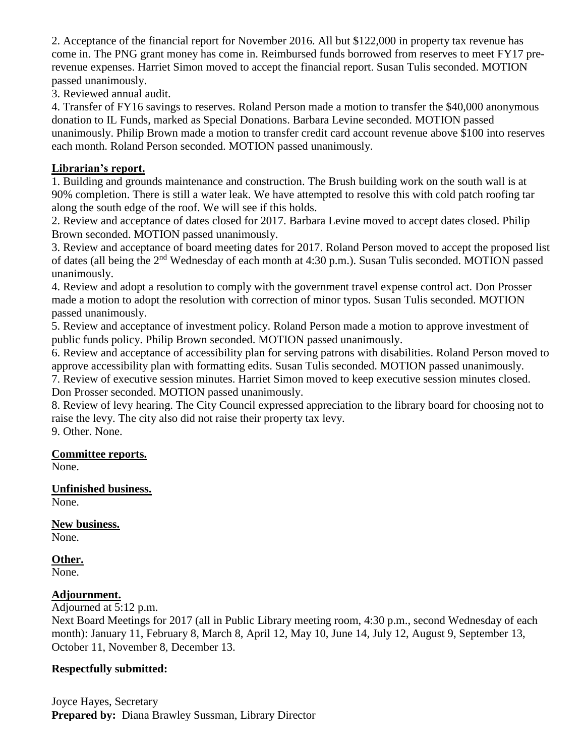2. Acceptance of the financial report for November 2016. All but \$122,000 in property tax revenue has come in. The PNG grant money has come in. Reimbursed funds borrowed from reserves to meet FY17 prerevenue expenses. Harriet Simon moved to accept the financial report. Susan Tulis seconded. MOTION passed unanimously.

3. Reviewed annual audit.

4. Transfer of FY16 savings to reserves. Roland Person made a motion to transfer the \$40,000 anonymous donation to IL Funds, marked as Special Donations. Barbara Levine seconded. MOTION passed unanimously. Philip Brown made a motion to transfer credit card account revenue above \$100 into reserves each month. Roland Person seconded. MOTION passed unanimously.

## **Librarian's report.**

1. Building and grounds maintenance and construction. The Brush building work on the south wall is at 90% completion. There is still a water leak. We have attempted to resolve this with cold patch roofing tar along the south edge of the roof. We will see if this holds.

2. Review and acceptance of dates closed for 2017. Barbara Levine moved to accept dates closed. Philip Brown seconded. MOTION passed unanimously.

3. Review and acceptance of board meeting dates for 2017. Roland Person moved to accept the proposed list of dates (all being the 2nd Wednesday of each month at 4:30 p.m.). Susan Tulis seconded. MOTION passed unanimously.

4. Review and adopt a resolution to comply with the government travel expense control act. Don Prosser made a motion to adopt the resolution with correction of minor typos. Susan Tulis seconded. MOTION passed unanimously.

5. Review and acceptance of investment policy. Roland Person made a motion to approve investment of public funds policy. Philip Brown seconded. MOTION passed unanimously.

6. Review and acceptance of accessibility plan for serving patrons with disabilities. Roland Person moved to approve accessibility plan with formatting edits. Susan Tulis seconded. MOTION passed unanimously.

7. Review of executive session minutes. Harriet Simon moved to keep executive session minutes closed. Don Prosser seconded. MOTION passed unanimously.

8. Review of levy hearing. The City Council expressed appreciation to the library board for choosing not to raise the levy. The city also did not raise their property tax levy.

9. Other. None.

# **Committee reports.**

None.

#### **Unfinished business.** None.

**New business.**

None.

# **Other.**

None.

# **Adjournment.**

Adjourned at 5:12 p.m.

Next Board Meetings for 2017 (all in Public Library meeting room, 4:30 p.m., second Wednesday of each month): January 11, February 8, March 8, April 12, May 10, June 14, July 12, August 9, September 13, October 11, November 8, December 13.

# **Respectfully submitted:**

Joyce Hayes, Secretary **Prepared by:** Diana Brawley Sussman, Library Director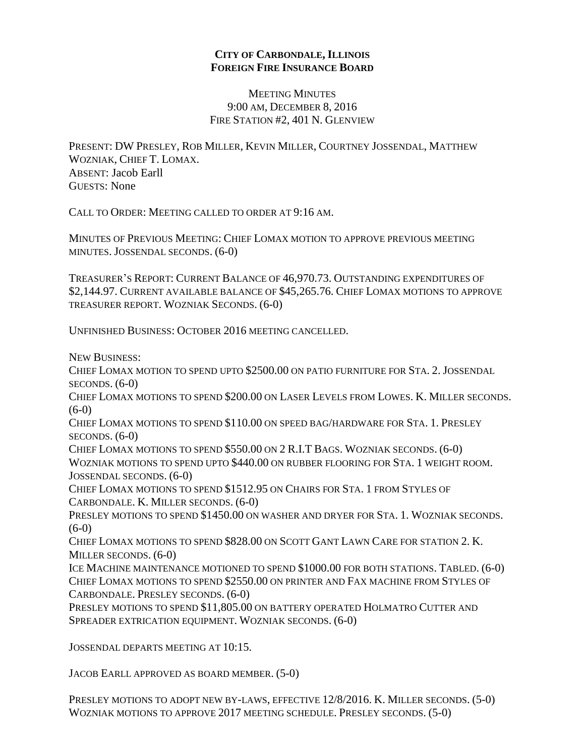## **CITY OF CARBONDALE, ILLINOIS FOREIGN FIRE INSURANCE BOARD**

MEETING MINUTES 9:00 AM, DECEMBER 8, 2016 FIRE STATION #2, 401 N. GLENVIEW

PRESENT: DW PRESLEY, ROB MILLER, KEVIN MILLER, COURTNEY JOSSENDAL, MATTHEW WOZNIAK, CHIEF T. LOMAX. ABSENT: Jacob Earll GUESTS: None

CALL TO ORDER: MEETING CALLED TO ORDER AT 9:16 AM.

MINUTES OF PREVIOUS MEETING: CHIEF LOMAX MOTION TO APPROVE PREVIOUS MEETING MINUTES. JOSSENDAL SECONDS. (6-0)

TREASURER'S REPORT: CURRENT BALANCE OF 46,970.73. OUTSTANDING EXPENDITURES OF \$2,144.97. CURRENT AVAILABLE BALANCE OF \$45,265.76. CHIEF LOMAX MOTIONS TO APPROVE TREASURER REPORT. WOZNIAK SECONDS. (6-0)

UNFINISHED BUSINESS: OCTOBER 2016 MEETING CANCELLED.

NEW BUSINESS:

CHIEF LOMAX MOTION TO SPEND UPTO \$2500.00 ON PATIO FURNITURE FOR STA. 2. JOSSENDAL SECONDS.  $(6-0)$ 

CHIEF LOMAX MOTIONS TO SPEND \$200.00 ON LASER LEVELS FROM LOWES. K. MILLER SECONDS.  $(6-0)$ 

CHIEF LOMAX MOTIONS TO SPEND \$110.00 ON SPEED BAG/HARDWARE FOR STA. 1. PRESLEY  $SECONDS. (6-0)$ 

CHIEF LOMAX MOTIONS TO SPEND \$550.00 ON 2 R.I.T BAGS. WOZNIAK SECONDS. (6-0) WOZNIAK MOTIONS TO SPEND UPTO \$440.00 ON RUBBER FLOORING FOR STA. 1 WEIGHT ROOM. JOSSENDAL SECONDS. (6-0)

CHIEF LOMAX MOTIONS TO SPEND \$1512.95 ON CHAIRS FOR STA. 1 FROM STYLES OF CARBONDALE. K. MILLER SECONDS. (6-0)

PRESLEY MOTIONS TO SPEND \$1450.00 ON WASHER AND DRYER FOR STA. 1. WOZNIAK SECONDS.  $(6-0)$ 

CHIEF LOMAX MOTIONS TO SPEND \$828.00 ON SCOTT GANT LAWN CARE FOR STATION 2. K. MILLER SECONDS. (6-0)

ICE MACHINE MAINTENANCE MOTIONED TO SPEND \$1000.00 FOR BOTH STATIONS. TABLED. (6-0) CHIEF LOMAX MOTIONS TO SPEND \$2550.00 ON PRINTER AND FAX MACHINE FROM STYLES OF CARBONDALE. PRESLEY SECONDS. (6-0)

PRESLEY MOTIONS TO SPEND \$11,805.00 ON BATTERY OPERATED HOLMATRO CUTTER AND SPREADER EXTRICATION EQUIPMENT. WOZNIAK SECONDS. (6-0)

JOSSENDAL DEPARTS MEETING AT 10:15.

JACOB EARLL APPROVED AS BOARD MEMBER. (5-0)

PRESLEY MOTIONS TO ADOPT NEW BY-LAWS, EFFECTIVE 12/8/2016. K. MILLER SECONDS. (5-0) WOZNIAK MOTIONS TO APPROVE 2017 MEETING SCHEDULE. PRESLEY SECONDS. (5-0)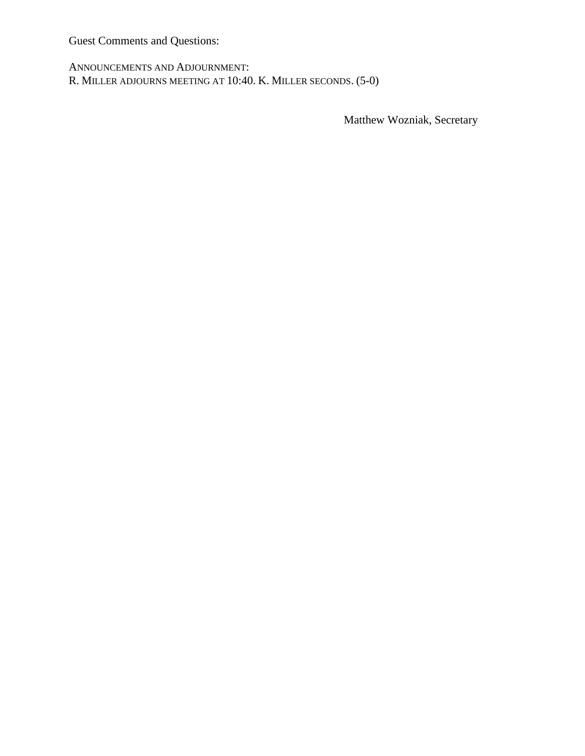Guest Comments and Questions:

ANNOUNCEMENTS AND ADJOURNMENT: R. MILLER ADJOURNS MEETING AT 10:40. K. MILLER SECONDS. (5-0)

Matthew Wozniak, Secretary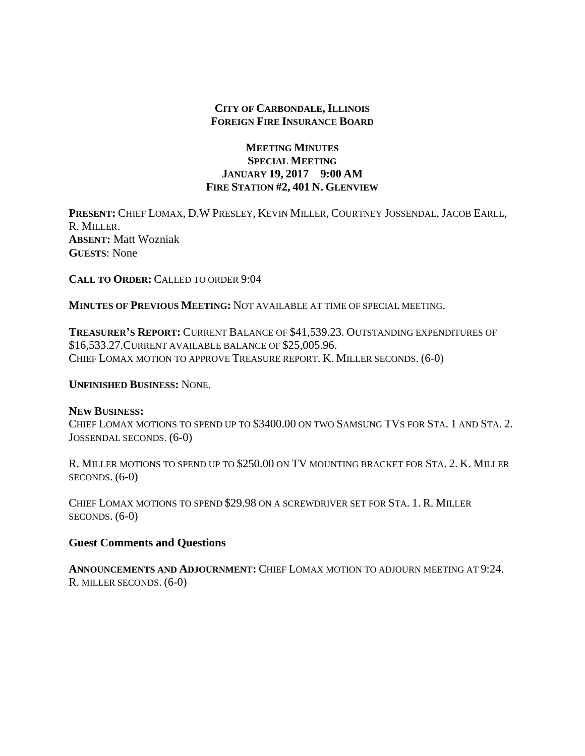## **CITY OF CARBONDALE, ILLINOIS FOREIGN FIRE INSURANCE BOARD**

## **MEETING MINUTES SPECIAL MEETING JANUARY 19, 2017 9:00 AM FIRE STATION #2, 401 N. GLENVIEW**

**PRESENT:** CHIEF LOMAX, D.W PRESLEY, KEVIN MILLER, COURTNEY JOSSENDAL, JACOB EARLL, R. MILLER. **ABSENT:** Matt Wozniak **GUESTS**: None

**CALL TO ORDER:** CALLED TO ORDER 9:04

**MINUTES OF PREVIOUS MEETING:** NOT AVAILABLE AT TIME OF SPECIAL MEETING.

**TREASURER'S REPORT:** CURRENT BALANCE OF \$41,539.23. OUTSTANDING EXPENDITURES OF \$16,533.27.CURRENT AVAILABLE BALANCE OF \$25,005.96. CHIEF LOMAX MOTION TO APPROVE TREASURE REPORT. K. MILLER SECONDS. (6-0)

**UNFINISHED BUSINESS:** NONE.

#### **NEW BUSINESS:**

CHIEF LOMAX MOTIONS TO SPEND UP TO \$3400.00 ON TWO SAMSUNG TVS FOR STA. 1 AND STA. 2. JOSSENDAL SECONDS. (6-0)

R. MILLER MOTIONS TO SPEND UP TO \$250.00 ON TV MOUNTING BRACKET FOR STA. 2. K. MILLER SECONDS.  $(6-0)$ 

CHIEF LOMAX MOTIONS TO SPEND \$29.98 ON A SCREWDRIVER SET FOR STA. 1. R. MILLER  $SECONDS. (6-0)$ 

#### **Guest Comments and Questions**

**ANNOUNCEMENTS AND ADJOURNMENT:** CHIEF LOMAX MOTION TO ADJOURN MEETING AT 9:24. R. MILLER SECONDS. (6-0)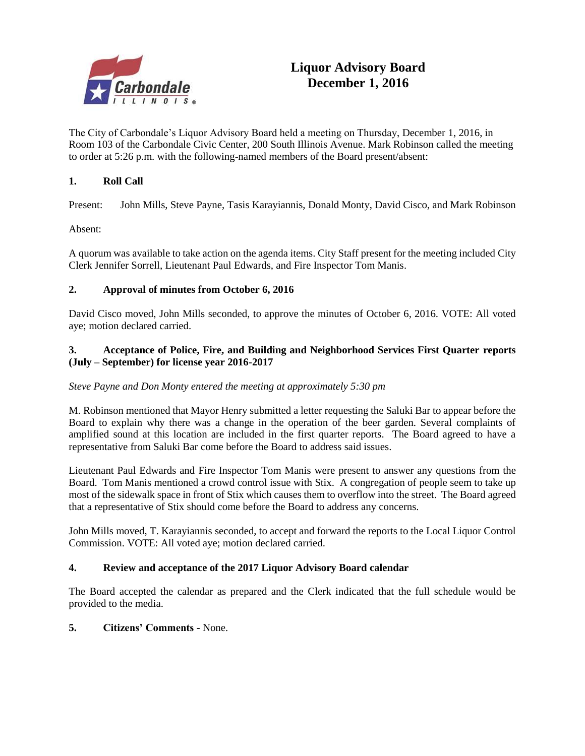

The City of Carbondale's Liquor Advisory Board held a meeting on Thursday, December 1, 2016, in Room 103 of the Carbondale Civic Center, 200 South Illinois Avenue. Mark Robinson called the meeting to order at 5:26 p.m. with the following-named members of the Board present/absent:

## **1. Roll Call**

Present: John Mills, Steve Payne, Tasis Karayiannis, Donald Monty, David Cisco, and Mark Robinson

Absent:

A quorum was available to take action on the agenda items. City Staff present for the meeting included City Clerk Jennifer Sorrell, Lieutenant Paul Edwards, and Fire Inspector Tom Manis.

#### **2. Approval of minutes from October 6, 2016**

David Cisco moved, John Mills seconded, to approve the minutes of October 6, 2016. VOTE: All voted aye; motion declared carried.

#### **3. Acceptance of Police, Fire, and Building and Neighborhood Services First Quarter reports (July – September) for license year 2016-2017**

#### *Steve Payne and Don Monty entered the meeting at approximately 5:30 pm*

M. Robinson mentioned that Mayor Henry submitted a letter requesting the Saluki Bar to appear before the Board to explain why there was a change in the operation of the beer garden. Several complaints of amplified sound at this location are included in the first quarter reports. The Board agreed to have a representative from Saluki Bar come before the Board to address said issues.

Lieutenant Paul Edwards and Fire Inspector Tom Manis were present to answer any questions from the Board. Tom Manis mentioned a crowd control issue with Stix. A congregation of people seem to take up most of the sidewalk space in front of Stix which causes them to overflow into the street. The Board agreed that a representative of Stix should come before the Board to address any concerns.

John Mills moved, T. Karayiannis seconded, to accept and forward the reports to the Local Liquor Control Commission. VOTE: All voted aye; motion declared carried.

#### **4. Review and acceptance of the 2017 Liquor Advisory Board calendar**

The Board accepted the calendar as prepared and the Clerk indicated that the full schedule would be provided to the media.

#### **5. Citizens' Comments -** None.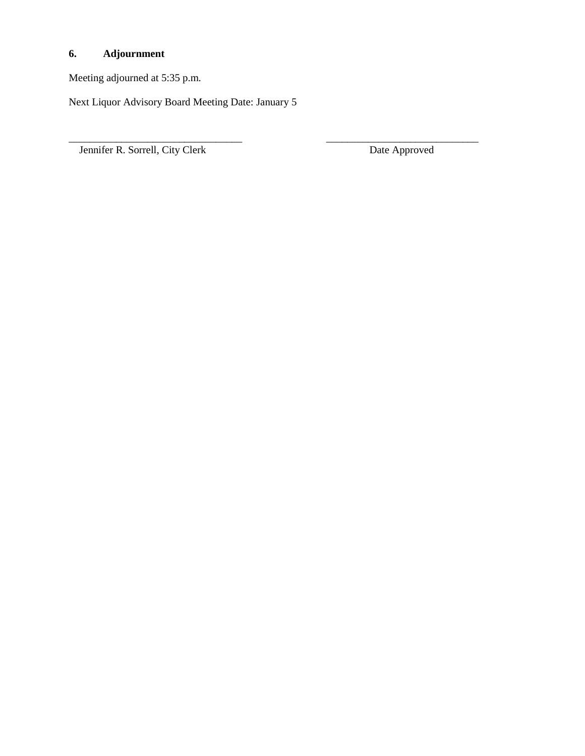# **6. Adjournment**

Meeting adjourned at 5:35 p.m.

Next Liquor Advisory Board Meeting Date: January 5

\_\_\_\_\_\_\_\_\_\_\_\_\_\_\_\_\_\_\_\_\_\_\_\_\_\_\_\_\_\_\_\_\_ \_\_\_\_\_\_\_\_\_\_\_\_\_\_\_\_\_\_\_\_\_\_\_\_\_\_\_\_\_

Jennifer R. Sorrell, City Clerk Date Approved